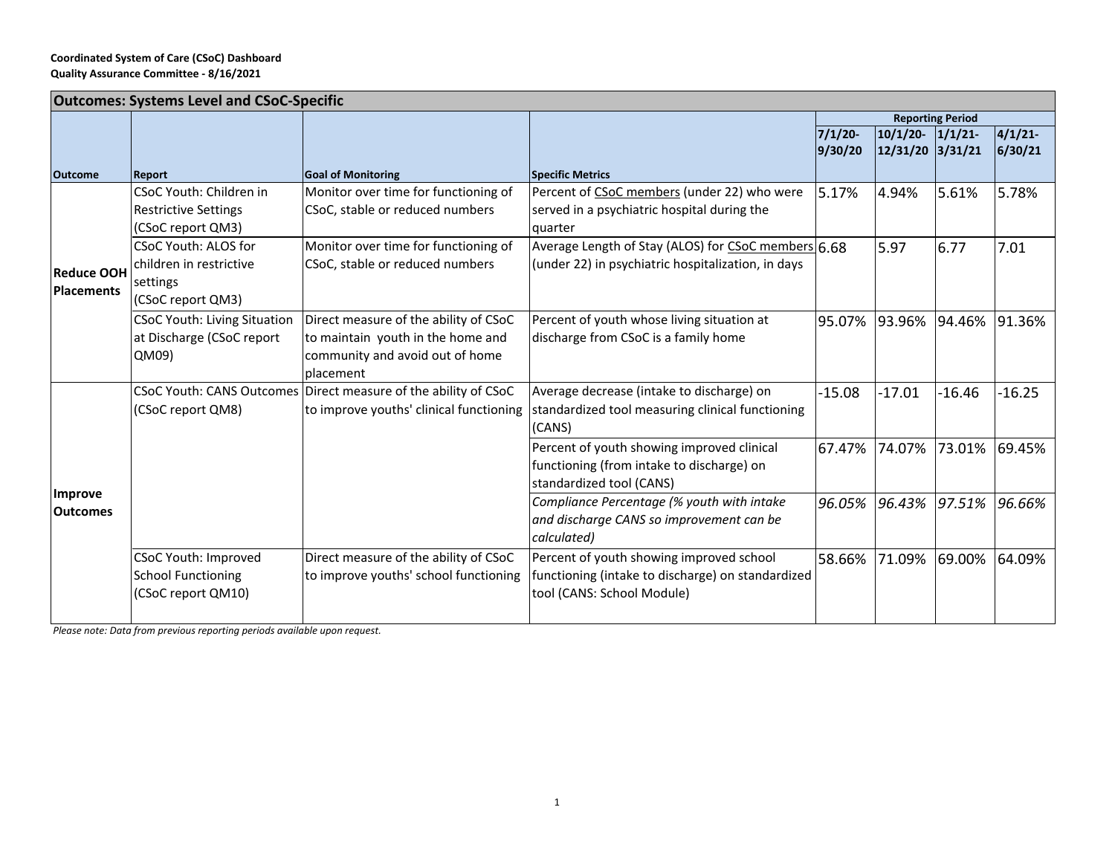| <b>Outcomes: Systems Level and CSoC-Specific</b> |                                     |                                                                 |                                                     |            |                         |          |          |  |  |
|--------------------------------------------------|-------------------------------------|-----------------------------------------------------------------|-----------------------------------------------------|------------|-------------------------|----------|----------|--|--|
|                                                  |                                     |                                                                 |                                                     |            | <b>Reporting Period</b> |          |          |  |  |
|                                                  |                                     |                                                                 |                                                     | $7/1/20$ - | $10/1/20$ -             | 1/1/21   | 4/1/21   |  |  |
|                                                  |                                     |                                                                 |                                                     | 9/30/20    | 12/31/20  3/31/21       |          | 6/30/21  |  |  |
| <b>Outcome</b>                                   | <b>Report</b>                       | <b>Goal of Monitoring</b>                                       | <b>Specific Metrics</b>                             |            |                         |          |          |  |  |
| <b>Reduce OOH</b><br><b>Placements</b>           | CSoC Youth: Children in             | Monitor over time for functioning of                            | Percent of CSoC members (under 22) who were         | 5.17%      | 4.94%                   | 5.61%    | 5.78%    |  |  |
|                                                  | <b>Restrictive Settings</b>         | CSoC, stable or reduced numbers                                 | served in a psychiatric hospital during the         |            |                         |          |          |  |  |
|                                                  | (CSoC report QM3)                   |                                                                 | quarter                                             |            |                         |          |          |  |  |
|                                                  | CSoC Youth: ALOS for                | Monitor over time for functioning of                            | Average Length of Stay (ALOS) for CSoC members 6.68 |            | 5.97                    | 6.77     | 7.01     |  |  |
|                                                  | children in restrictive             | CSoC, stable or reduced numbers                                 | (under 22) in psychiatric hospitalization, in days  |            |                         |          |          |  |  |
|                                                  | settings                            |                                                                 |                                                     |            |                         |          |          |  |  |
|                                                  | (CSoC report QM3)                   |                                                                 |                                                     |            |                         |          |          |  |  |
|                                                  | <b>CSoC Youth: Living Situation</b> | Direct measure of the ability of CSoC                           | Percent of youth whose living situation at          | 95.07%     | 93.96%                  | 94.46%   | 91.36%   |  |  |
|                                                  | at Discharge (CSoC report           | to maintain youth in the home and                               | discharge from CSoC is a family home                |            |                         |          |          |  |  |
|                                                  | QM09)                               | community and avoid out of home                                 |                                                     |            |                         |          |          |  |  |
|                                                  |                                     | placement                                                       |                                                     |            |                         |          |          |  |  |
| Improve<br><b>Outcomes</b>                       |                                     | CSoC Youth: CANS Outcomes Direct measure of the ability of CSoC | Average decrease (intake to discharge) on           | $-15.08$   | $-17.01$                | $-16.46$ | $-16.25$ |  |  |
|                                                  | (CSoC report QM8)                   | to improve youths' clinical functioning                         | standardized tool measuring clinical functioning    |            |                         |          |          |  |  |
|                                                  |                                     |                                                                 | (CANS)                                              |            |                         |          |          |  |  |
|                                                  |                                     |                                                                 | Percent of youth showing improved clinical          | 67.47%     | 74.07%                  | 73.01%   | 69.45%   |  |  |
|                                                  |                                     |                                                                 | functioning (from intake to discharge) on           |            |                         |          |          |  |  |
|                                                  |                                     |                                                                 | standardized tool (CANS)                            |            |                         |          |          |  |  |
|                                                  |                                     |                                                                 | Compliance Percentage (% youth with intake          | 96.05%     | 96.43%                  | 97.51%   | 96.66%   |  |  |
|                                                  |                                     |                                                                 | and discharge CANS so improvement can be            |            |                         |          |          |  |  |
|                                                  |                                     |                                                                 | calculated)                                         |            |                         |          |          |  |  |
|                                                  | CSoC Youth: Improved                | Direct measure of the ability of CSoC                           | Percent of youth showing improved school            | 58.66%     | 71.09%                  | 69.00%   | 64.09%   |  |  |
|                                                  | <b>School Functioning</b>           | to improve youths' school functioning                           | functioning (intake to discharge) on standardized   |            |                         |          |          |  |  |
|                                                  | (CSoC report QM10)                  |                                                                 | tool (CANS: School Module)                          |            |                         |          |          |  |  |
|                                                  |                                     |                                                                 |                                                     |            |                         |          |          |  |  |

*Please note: Data from previous reporting periods available upon request.*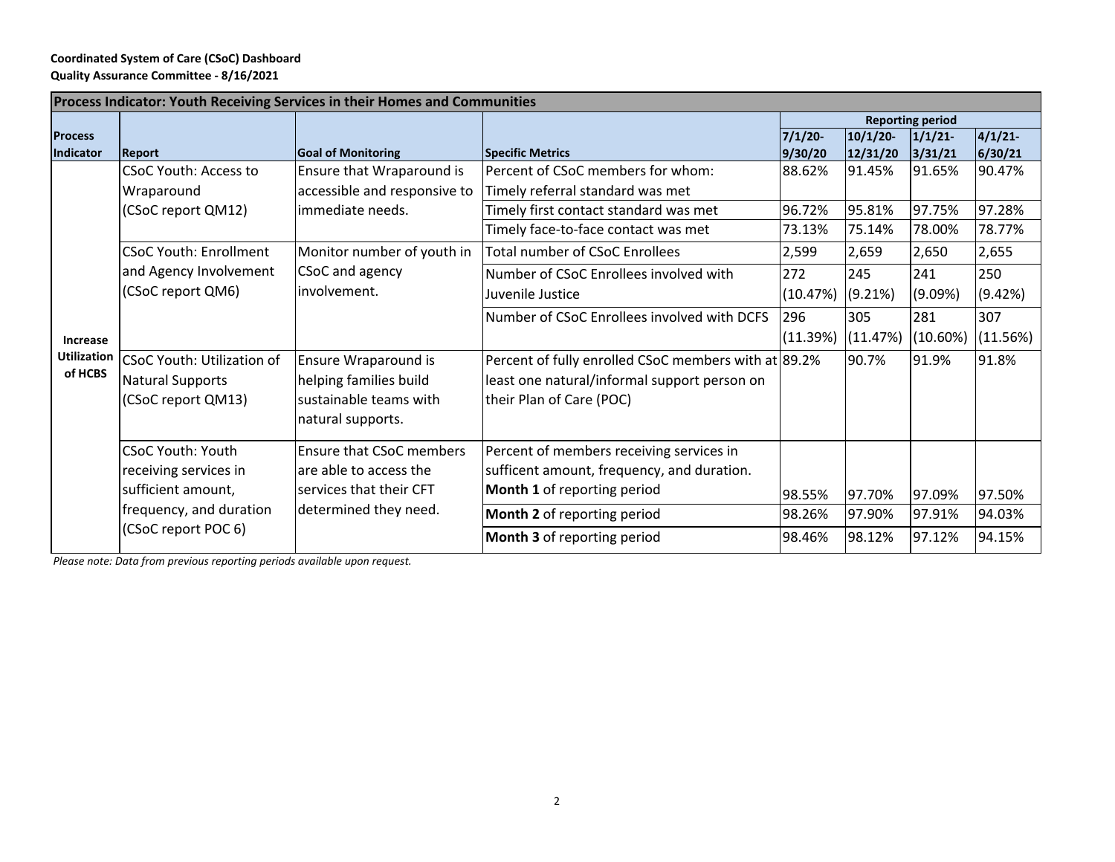## **Coordinated System of Care (CSoC) Dashboard Quality Assurance Committee ‐ 8/16/2021**

| <b>Reporting period</b><br>4/1/21<br>1/1/21<br>6/30/21<br>3/31/21<br>91.65%<br>90.47%<br>97.75%<br>97.28%<br>78.00%<br>78.77% |  |
|-------------------------------------------------------------------------------------------------------------------------------|--|
|                                                                                                                               |  |
|                                                                                                                               |  |
|                                                                                                                               |  |
|                                                                                                                               |  |
|                                                                                                                               |  |
|                                                                                                                               |  |
|                                                                                                                               |  |
| 2,650<br>2,655                                                                                                                |  |
| 250<br>241                                                                                                                    |  |
| (9.42%)<br>(9.09%)                                                                                                            |  |
| 307<br>281                                                                                                                    |  |
| (11.56%)<br>(10.60%)                                                                                                          |  |
| 91.9%<br>91.8%                                                                                                                |  |
|                                                                                                                               |  |
|                                                                                                                               |  |
|                                                                                                                               |  |
|                                                                                                                               |  |
|                                                                                                                               |  |
| 97.09%<br>97.50%                                                                                                              |  |
| 94.03%<br>97.91%                                                                                                              |  |
| 97.12%<br>94.15%                                                                                                              |  |
|                                                                                                                               |  |

*Please note: Data from previous reporting periods available upon request.*